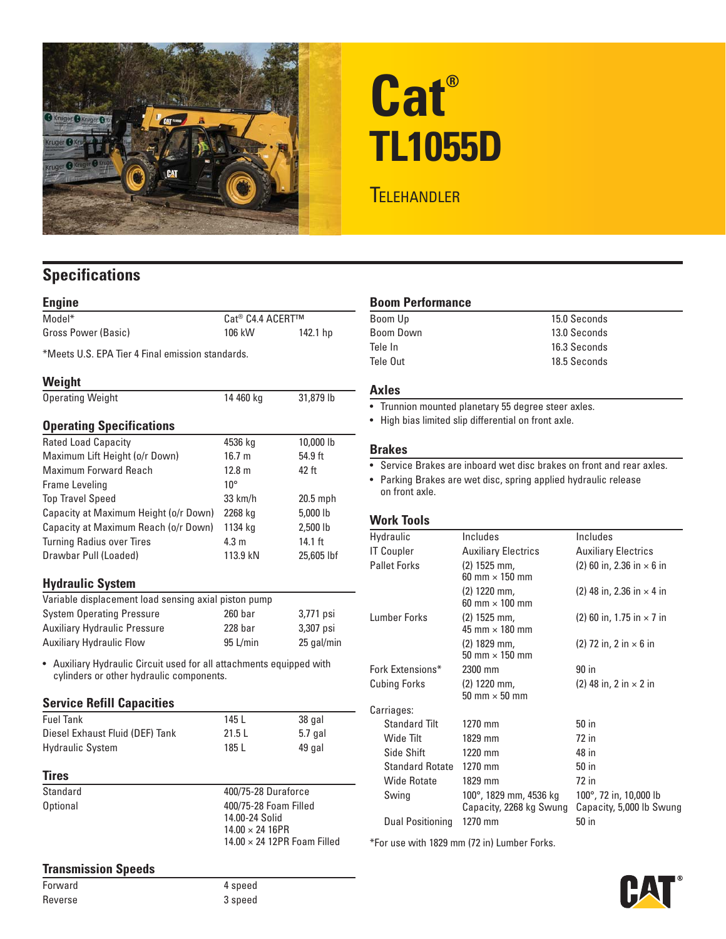

# **Cat® TL1055D**

# **TELEHANDLER**

# **Specifications**

| Cat <sup>®</sup> C4.4 ACERT™                     |            |
|--------------------------------------------------|------------|
| 106 kW                                           | 142.1 hp   |
| *Meets U.S. FPA Tier 4 Final emission standards. |            |
|                                                  |            |
| 14 460 kg                                        | 31,879 lb  |
|                                                  |            |
| 4536 kg                                          | 10,000 lb  |
| 16.7 <sub>m</sub>                                | 54.9 ft    |
| $12.8 \text{ m}$                                 | 42 ft      |
| $10^{\circ}$                                     |            |
| 33 km/h                                          | 20.5 mph   |
| 2268 kg                                          | 5,000 lb   |
| 1134 kg                                          | 2,500 lb   |
| $4.3 \text{ m}$                                  | 14.1 ft    |
| 113.9 kN                                         | 25,605 lbf |
|                                                  |            |

# **Hydraulic System**

| Variable displacement load sensing axial piston pump |                    |            |  |
|------------------------------------------------------|--------------------|------------|--|
| <b>System Operating Pressure</b>                     | 260 <sub>bar</sub> | 3,771 psi  |  |
| <b>Auxiliary Hydraulic Pressure</b>                  | $228$ bar          | 3.307 psi  |  |
| <b>Auxiliary Hydraulic Flow</b>                      | $95$ L/min         | 25 gal/min |  |

• Auxiliary Hydraulic Circuit used for all attachments equipped with cylinders or other hydraulic components.

#### **Service Refill Capacities**

| <b>Fuel Tank</b>                | 145 L  | 38 gal  |
|---------------------------------|--------|---------|
| Diesel Exhaust Fluid (DEF) Tank | 21.5 L | 5.7 gal |
| <b>Hydraulic System</b>         | 185 L  | 49 gal  |

#### **Tires**

Standard 400/75-28 Duraforce Optional 400/75-28 Foam Filled 14.00-24 Solid 14.00 × 24 16PR 14.00 × 24 12PR Foam Filled

# **Boom Performance**

| Boom Up   | 15.0 Seconds |
|-----------|--------------|
| Boom Down | 13.0 Seconds |
| Tele In   | 16.3 Seconds |
| Tele Out  | 18.5 Seconds |

# **Axles**

- Trunnion mounted planetary 55 degree steer axles.
- High bias limited slip differential on front axle.

#### **Brakes**

• Service Brakes are inboard wet disc brakes on front and rear axles.

• Parking Brakes are wet disc, spring applied hydraulic release on front axle.

#### **Work Tools**

| Hydraulic              | Includes                                          | Includes                                           |
|------------------------|---------------------------------------------------|----------------------------------------------------|
| <b>IT Coupler</b>      | <b>Auxiliary Electrics</b>                        | <b>Auxiliary Electrics</b>                         |
| <b>Pallet Forks</b>    | (2) 1525 mm,<br>60 mm $\times$ 150 mm             | $(2)$ 60 in, 2.36 in $\times$ 6 in                 |
|                        | (2) 1220 mm,<br>60 mm $\times$ 100 mm             | (2) 48 in, 2.36 in $\times$ 4 in                   |
| Lumber Forks           | (2) 1525 mm,<br>45 mm $\times$ 180 mm             | $(2)$ 60 in, 1.75 in $\times$ 7 in                 |
|                        | (2) 1829 mm,<br>50 mm $\times$ 150 mm             | $(2)$ 72 in, 2 in $\times$ 6 in                    |
| Fork Extensions*       | 2300 mm                                           | 90 in                                              |
| <b>Cubing Forks</b>    | $(2)$ 1220 mm,<br>50 mm $\times$ 50 mm            | (2) 48 in, 2 in $\times$ 2 in                      |
| Carriages:             |                                                   |                                                    |
| <b>Standard Tilt</b>   | 1270 mm                                           | 50 in                                              |
| Wide Tilt              | 1829 mm                                           | 72 in                                              |
| Side Shift             | 1220 mm                                           | 48 in                                              |
| <b>Standard Rotate</b> | 1270 mm                                           | 50 in                                              |
| Wide Rotate            | 1829 mm                                           | 72 in                                              |
| Swing                  | 100°, 1829 mm, 4536 kg<br>Capacity, 2268 kg Swung | 100°, 72 in, 10,000 lb<br>Capacity, 5,000 lb Swung |
| Dual Positioning       | 1270 mm                                           | 50 in                                              |

\*For use with 1829 mm (72 in) Lumber Forks.



**Transmission Speeds**

Forward 4 speed